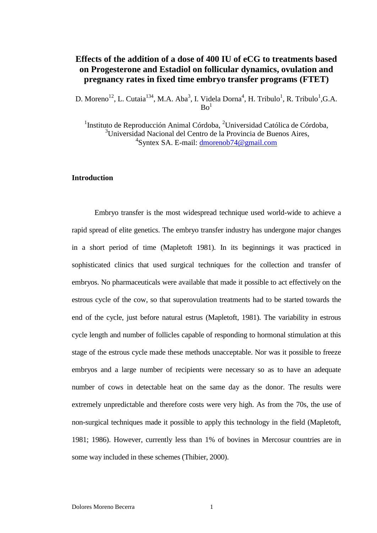# **Effects of the addition of a dose of 400 IU of eCG to treatments based on Progesterone and Estadiol on follicular dynamics, ovulation and pregnancy rates in fixed time embryo transfer programs (FTET)**

D. Moreno<sup>12</sup>, L. Cutaia<sup>134</sup>, M.A. Aba<sup>3</sup>, I. Videla Dorna<sup>4</sup>, H. Tribulo<sup>1</sup>, R. Tribulo<sup>1</sup>, G.A.  $Bo<sup>1</sup>$ 

<sup>1</sup>Instituto de Reproducción Animal Córdoba, <sup>2</sup>Universidad Católica de Córdoba, <sup>3</sup>Universidad Nacional del Centro de la Provincia de Buenos Aires, <sup>4</sup>Syntex SA. E-mail: <u>dmorenob74@gmail.com</u>

# **Introduction**

Embryo transfer is the most widespread technique used world-wide to achieve a rapid spread of elite genetics. The embryo transfer industry has undergone major changes in a short period of time (Mapletoft 1981). In its beginnings it was practiced in sophisticated clinics that used surgical techniques for the collection and transfer of embryos. No pharmaceuticals were available that made it possible to act effectively on the estrous cycle of the cow, so that superovulation treatments had to be started towards the end of the cycle, just before natural estrus (Mapletoft, 1981). The variability in estrous cycle length and number of follicles capable of responding to hormonal stimulation at this stage of the estrous cycle made these methods unacceptable. Nor was it possible to freeze embryos and a large number of recipients were necessary so as to have an adequate number of cows in detectable heat on the same day as the donor. The results were extremely unpredictable and therefore costs were very high. As from the 70s, the use of non-surgical techniques made it possible to apply this technology in the field (Mapletoft, 1981; 1986). However, currently less than 1% of bovines in Mercosur countries are in some way included in these schemes (Thibier, 2000).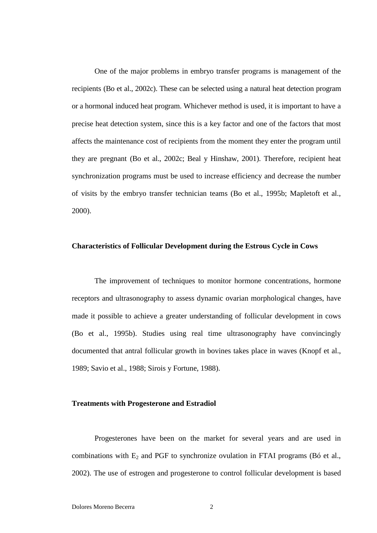One of the major problems in embryo transfer programs is management of the recipients (Bo et al., 2002c). These can be selected using a natural heat detection program or a hormonal induced heat program. Whichever method is used, it is important to have a precise heat detection system, since this is a key factor and one of the factors that most affects the maintenance cost of recipients from the moment they enter the program until they are pregnant (Bo et al., 2002c; Beal y Hinshaw, 2001). Therefore, recipient heat synchronization programs must be used to increase efficiency and decrease the number of visits by the embryo transfer technician teams (Bo et al., 1995b; Mapletoft et al., 2000).

# **Characteristics of Follicular Development during the Estrous Cycle in Cows**

The improvement of techniques to monitor hormone concentrations, hormone receptors and ultrasonography to assess dynamic ovarian morphological changes, have made it possible to achieve a greater understanding of follicular development in cows (Bo et al., 1995b). Studies using real time ultrasonography have convincingly documented that antral follicular growth in bovines takes place in waves (Knopf et al., 1989; Savio et al., 1988; Sirois y Fortune, 1988).

#### **Treatments with Progesterone and Estradiol**

Progesterones have been on the market for several years and are used in combinations with  $E_2$  and PGF to synchronize ovulation in FTAI programs (B6 et al., 2002). The use of estrogen and progesterone to control follicular development is based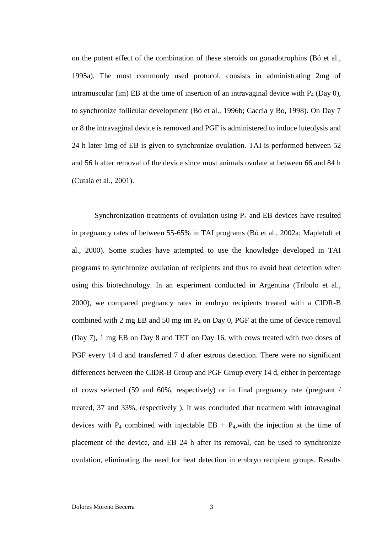on the potent effect of the combination of these steroids on gonadotrophins (Bó et al., 1995a). The most commonly used protocol, consists in administrating 2mg of intramuscular (im) EB at the time of insertion of an intravaginal device with  $P_4$  (Day 0), to synchronize follicular development (Bó et al., 1996b; Caccia y Bo, 1998). On Day 7 or 8 the intravaginal device is removed and PGF is administered to induce luteolysis and 24 h later 1mg of EB is given to synchronize ovulation. TAI is performed between 52 and 56 h after removal of the device since most animals ovulate at between 66 and 84 h (Cutaia et al., 2001).

Synchronization treatments of ovulation using  $P_4$  and EB devices have resulted in pregnancy rates of between 55-65% in TAI programs (Bó et al., 2002a; Mapletoft et al., 2000). Some studies have attempted to use the knowledge developed in TAI programs to synchronize ovulation of recipients and thus to avoid heat detection when using this biotechnology. In an experiment conducted in Argentina (Tribulo et al., 2000), we compared pregnancy rates in embryo recipients treated with a CIDR-B combined with 2 mg EB and 50 mg im  $P_4$  on Day 0, PGF at the time of device removal (Day 7), 1 mg EB on Day 8 and TET on Day 16, with cows treated with two doses of PGF every 14 d and transferred 7 d after estrous detection. There were no significant differences between the CIDR-B Group and PGF Group every 14 d, either in percentage of cows selected (59 and 60%, respectively) or in final pregnancy rate (pregnant / treated, 37 and 33%, respectively ). It was concluded that treatment with intravaginal devices with  $P_4$  combined with injectable EB +  $P_4$ , with the injection at the time of placement of the device, and EB 24 h after its removal, can be used to synchronize ovulation, eliminating the need for heat detection in embryo recipient groups. Results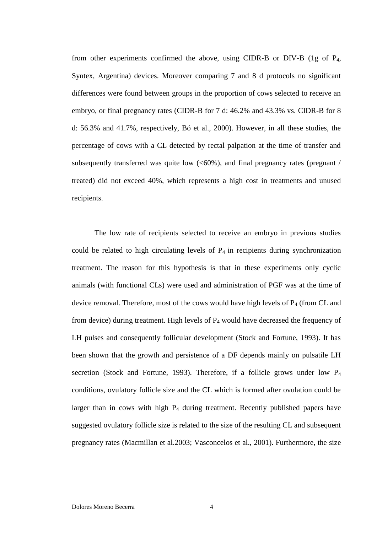from other experiments confirmed the above, using CIDR-B or DIV-B (1g of  $P_4$ , Syntex, Argentina) devices. Moreover comparing 7 and 8 d protocols no significant differences were found between groups in the proportion of cows selected to receive an embryo, or final pregnancy rates (CIDR-B for 7 d: 46.2% and 43.3% vs. CIDR-B for 8 d: 56.3% and 41.7%, respectively, Bó et al., 2000). However, in all these studies, the percentage of cows with a CL detected by rectal palpation at the time of transfer and subsequently transferred was quite low  $(<,60\%)$ , and final pregnancy rates (pregnant / treated) did not exceed 40%, which represents a high cost in treatments and unused recipients.

The low rate of recipients selected to receive an embryo in previous studies could be related to high circulating levels of  $P_4$  in recipients during synchronization treatment. The reason for this hypothesis is that in these experiments only cyclic animals (with functional CLs) were used and administration of PGF was at the time of device removal. Therefore, most of the cows would have high levels of  $P_4$  (from CL and from device) during treatment. High levels of  $P_4$  would have decreased the frequency of LH pulses and consequently follicular development (Stock and Fortune, 1993). It has been shown that the growth and persistence of a DF depends mainly on pulsatile LH secretion (Stock and Fortune, 1993). Therefore, if a follicle grows under low  $P_4$ conditions, ovulatory follicle size and the CL which is formed after ovulation could be larger than in cows with high  $P_4$  during treatment. Recently published papers have suggested ovulatory follicle size is related to the size of the resulting CL and subsequent pregnancy rates (Macmillan et al.2003; Vasconcelos et al., 2001). Furthermore, the size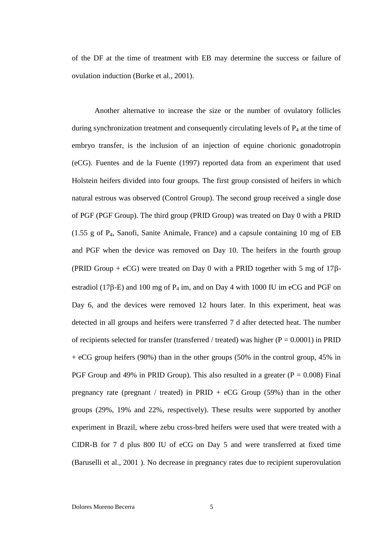of the DF at the time of treatment with EB may determine the success or failure of ovulation induction (Burke et al., 2001).

Another alternative to increase the size or the number of ovulatory follicles during synchronization treatment and consequently circulating levels of  $P_4$  at the time of embryo transfer, is the inclusion of an injection of equine chorionic gonadotropin (eCG). Fuentes and de la Fuente (1997) reported data from an experiment that used Holstein heifers divided into four groups. The first group consisted of heifers in which natural estrous was observed (Control Group). The second group received a single dose of PGF (PGF Group). The third group (PRID Group) was treated on Day 0 with a PRID (1.55 g of P4, Sanofi, Sanite Animale, France) and a capsule containing 10 mg of EB and PGF when the device was removed on Day 10. The heifers in the fourth group (PRID Group + eCG) were treated on Day 0 with a PRID together with 5 mg of 17 $\beta$ estradiol (17 $\beta$ -E) and 100 mg of P<sub>4</sub> im, and on Day 4 with 1000 IU im eCG and PGF on Day 6, and the devices were removed 12 hours later. In this experiment, heat was detected in all groups and heifers were transferred 7 d after detected heat. The number of recipients selected for transfer (transferred / treated) was higher  $(P = 0.0001)$  in PRID + eCG group heifers (90%) than in the other groups (50% in the control group, 45% in PGF Group and 49% in PRID Group). This also resulted in a greater  $(P = 0.008)$  Final pregnancy rate (pregnant / treated) in  $PRID + eCG$  Group (59%) than in the other groups (29%, 19% and 22%, respectively). These results were supported by another experiment in Brazil, where zebu cross-bred heifers were used that were treated with a CIDR-B for 7 d plus 800 IU of eCG on Day 5 and were transferred at fixed time (Baruselli et al., 2001 ). No decrease in pregnancy rates due to recipient superovulation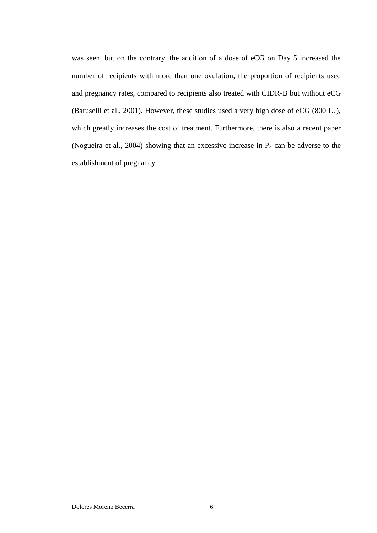was seen, but on the contrary, the addition of a dose of eCG on Day 5 increased the number of recipients with more than one ovulation, the proportion of recipients used and pregnancy rates, compared to recipients also treated with CIDR-B but without eCG (Baruselli et al., 2001). However, these studies used a very high dose of eCG (800 IU), which greatly increases the cost of treatment. Furthermore, there is also a recent paper (Nogueira et al., 2004) showing that an excessive increase in  $P_4$  can be adverse to the establishment of pregnancy.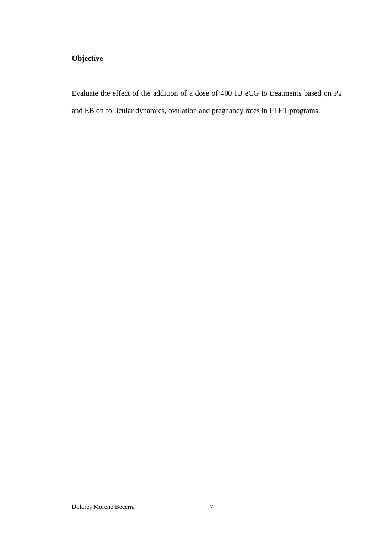# **Objective**

Evaluate the effect of the addition of a dose of 400 IU eCG to treatments based on P<sup>4</sup> and EB on follicular dynamics, ovulation and pregnancy rates in FTET programs.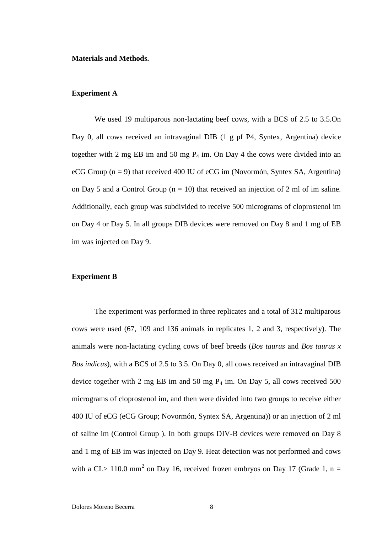**Materials and Methods.**

# **Experiment A**

We used 19 multiparous non-lactating beef cows, with a BCS of 2.5 to 3.5.On Day 0, all cows received an intravaginal DIB (1 g pf P4, Syntex, Argentina) device together with 2 mg EB im and 50 mg  $P_4$  im. On Day 4 the cows were divided into an eCG Group  $(n = 9)$  that received 400 IU of eCG im (Novormón, Syntex SA, Argentina) on Day 5 and a Control Group ( $n = 10$ ) that received an injection of 2 ml of im saline. Additionally, each group was subdivided to receive 500 micrograms of cloprostenol im on Day 4 or Day 5. In all groups DIB devices were removed on Day 8 and 1 mg of EB im was injected on Day 9.

### **Experiment B**

The experiment was performed in three replicates and a total of 312 multiparous cows were used (67, 109 and 136 animals in replicates 1, 2 and 3, respectively). The animals were non-lactating cycling cows of beef breeds (*Bos taurus* and *Bos taurus x Bos indicus*), with a BCS of 2.5 to 3.5. On Day 0, all cows received an intravaginal DIB device together with 2 mg EB im and 50 mg  $P_4$  im. On Day 5, all cows received 500 micrograms of cloprostenol im, and then were divided into two groups to receive either 400 IU of eCG (eCG Group; Novormón, Syntex SA, Argentina)) or an injection of 2 ml of saline im (Control Group ). In both groups DIV-B devices were removed on Day 8 and 1 mg of EB im was injected on Day 9. Heat detection was not performed and cows with a CL> 110.0 mm<sup>2</sup> on Day 16, received frozen embryos on Day 17 (Grade 1, n =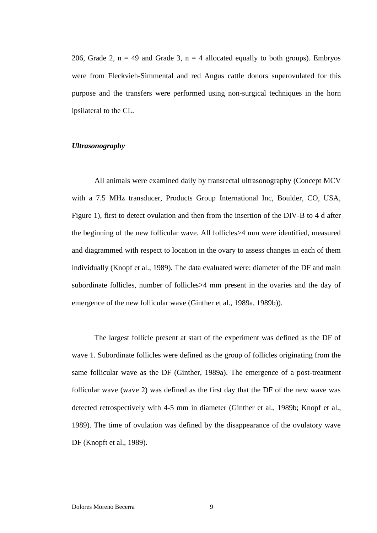206, Grade 2,  $n = 49$  and Grade 3,  $n = 4$  allocated equally to both groups). Embryos were from Fleckvieh-Simmental and red Angus cattle donors superovulated for this purpose and the transfers were performed using non-surgical techniques in the horn ipsilateral to the CL.

# *Ultrasonography*

All animals were examined daily by transrectal ultrasonography (Concept MCV with a 7.5 MHz transducer, Products Group International Inc, Boulder, CO, USA, Figure 1), first to detect ovulation and then from the insertion of the DIV-B to 4 d after the beginning of the new follicular wave. All follicles>4 mm were identified, measured and diagrammed with respect to location in the ovary to assess changes in each of them individually (Knopf et al., 1989). The data evaluated were: diameter of the DF and main subordinate follicles, number of follicles>4 mm present in the ovaries and the day of emergence of the new follicular wave (Ginther et al., 1989a, 1989b)).

The largest follicle present at start of the experiment was defined as the DF of wave 1. Subordinate follicles were defined as the group of follicles originating from the same follicular wave as the DF (Ginther, 1989a). The emergence of a post-treatment follicular wave (wave 2) was defined as the first day that the DF of the new wave was detected retrospectively with 4-5 mm in diameter (Ginther et al., 1989b; Knopf et al., 1989). The time of ovulation was defined by the disappearance of the ovulatory wave DF (Knopft et al., 1989).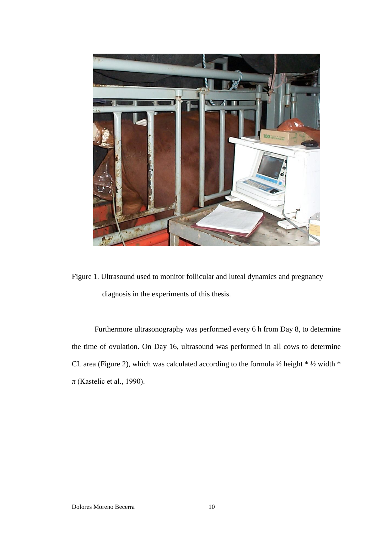

Figure 1. Ultrasound used to monitor follicular and luteal dynamics and pregnancy diagnosis in the experiments of this thesis.

Furthermore ultrasonography was performed every 6 h from Day 8, to determine the time of ovulation. On Day 16, ultrasound was performed in all cows to determine CL area (Figure 2), which was calculated according to the formula  $\frac{1}{2}$  height  $* \frac{1}{2}$  width  $*$  $\pi$  (Kastelic et al., 1990).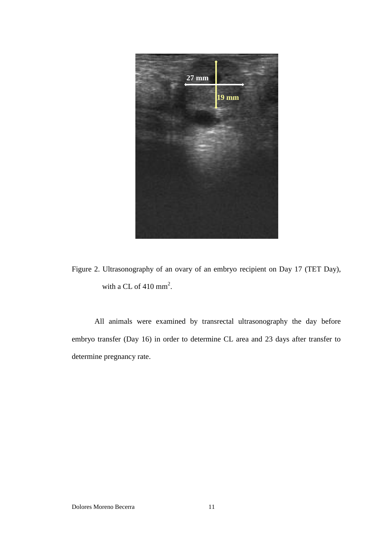

Figure 2. Ultrasonography of an ovary of an embryo recipient on Day 17 (TET Day), with a CL of  $410 \text{ mm}^2$ .

All animals were examined by transrectal ultrasonography the day before embryo transfer (Day 16) in order to determine CL area and 23 days after transfer to determine pregnancy rate.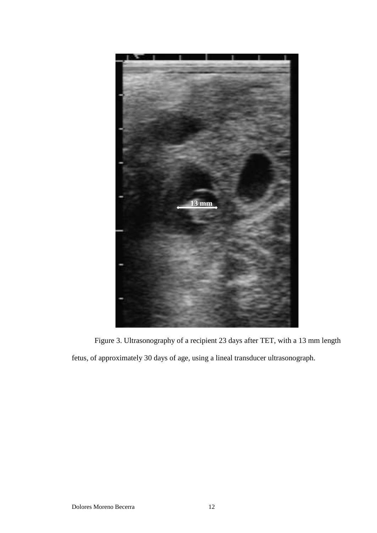

Figure 3. Ultrasonography of a recipient 23 days after TET, with a 13 mm length fetus, of approximately 30 days of age, using a lineal transducer ultrasonograph.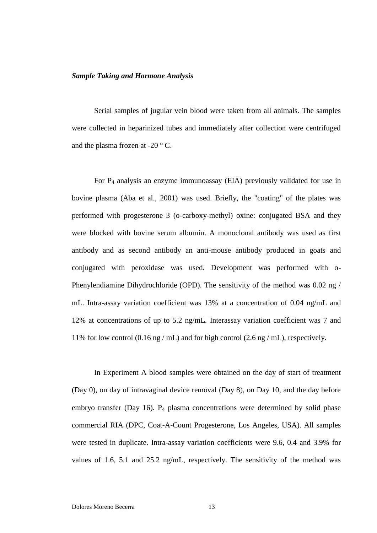#### *Sample Taking and Hormone Analysis*

Serial samples of jugular vein blood were taken from all animals. The samples were collected in heparinized tubes and immediately after collection were centrifuged and the plasma frozen at -20 ° C.

For P<sup>4</sup> analysis an enzyme immunoassay (EIA) previously validated for use in bovine plasma (Aba et al., 2001) was used. Briefly, the "coating" of the plates was performed with progesterone 3 (o-carboxy-methyl) oxine: conjugated BSA and they were blocked with bovine serum albumin. A monoclonal antibody was used as first antibody and as second antibody an anti-mouse antibody produced in goats and conjugated with peroxidase was used. Development was performed with o-Phenylendiamine Dihydrochloride (OPD). The sensitivity of the method was 0.02 ng / mL. Intra-assay variation coefficient was 13% at a concentration of 0.04 ng/mL and 12% at concentrations of up to 5.2 ng/mL. Interassay variation coefficient was 7 and 11% for low control (0.16 ng / mL) and for high control (2.6 ng / mL), respectively.

In Experiment A blood samples were obtained on the day of start of treatment (Day 0), on day of intravaginal device removal (Day 8), on Day 10, and the day before embryo transfer (Day 16).  $P_4$  plasma concentrations were determined by solid phase commercial RIA (DPC, Coat-A-Count Progesterone, Los Angeles, USA). All samples were tested in duplicate. Intra-assay variation coefficients were 9.6, 0.4 and 3.9% for values of 1.6, 5.1 and 25.2 ng/mL, respectively. The sensitivity of the method was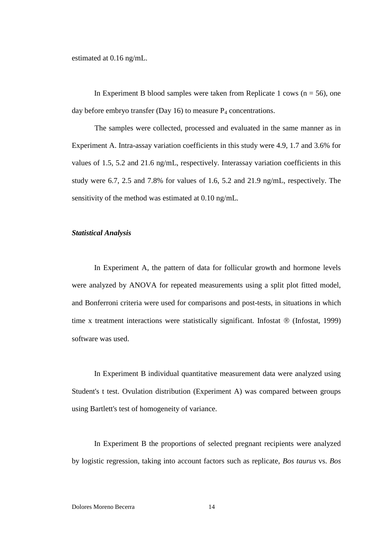estimated at 0.16 ng/mL.

In Experiment B blood samples were taken from Replicate 1 cows ( $n = 56$ ), one day before embryo transfer (Day 16) to measure  $P_4$  concentrations.

The samples were collected, processed and evaluated in the same manner as in Experiment A. Intra-assay variation coefficients in this study were 4.9, 1.7 and 3.6% for values of 1.5, 5.2 and 21.6 ng/mL, respectively. Interassay variation coefficients in this study were 6.7, 2.5 and 7.8% for values of 1.6, 5.2 and 21.9 ng/mL, respectively. The sensitivity of the method was estimated at 0.10 ng/mL.

#### *Statistical Analysis*

In Experiment A, the pattern of data for follicular growth and hormone levels were analyzed by ANOVA for repeated measurements using a split plot fitted model, and Bonferroni criteria were used for comparisons and post-tests, in situations in which time x treatment interactions were statistically significant. Infostat  $\mathcal D$  (Infostat, 1999) software was used.

In Experiment B individual quantitative measurement data were analyzed using Student's t test. Ovulation distribution (Experiment A) was compared between groups using Bartlett's test of homogeneity of variance.

In Experiment B the proportions of selected pregnant recipients were analyzed by logistic regression, taking into account factors such as replicate, *Bos taurus* vs. *Bos*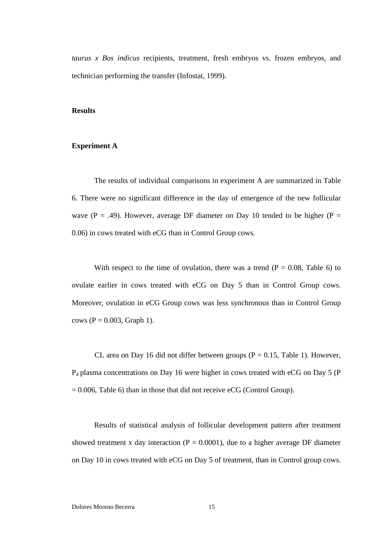*taurus x Bos indicus* recipients, treatment, fresh embryos vs. frozen embryos, and technician performing the transfer (Infostat, 1999).

# **Results**

# **Experiment A**

The results of individual comparisons in experiment A are summarized in Table 6. There were no significant difference in the day of emergence of the new follicular wave (P = .49). However, average DF diameter on Day 10 tended to be higher (P = 0.06) in cows treated with eCG than in Control Group cows.

With respect to the time of ovulation, there was a trend  $(P = 0.08,$  Table 6) to ovulate earlier in cows treated with eCG on Day 5 than in Control Group cows. Moreover, ovulation in eCG Group cows was less synchronous than in Control Group cows ( $P = 0.003$ , Graph 1).

CL area on Day 16 did not differ between groups ( $P = 0.15$ , Table 1). However, P4 plasma concentrations on Day 16 were higher in cows treated with eCG on Day 5 (P  $= 0.006$ , Table 6) than in those that did not receive eCG (Control Group).

Results of statistical analysis of follicular development pattern after treatment showed treatment x day interaction ( $P = 0.0001$ ), due to a higher average DF diameter on Day 10 in cows treated with eCG on Day 5 of treatment, than in Control group cows.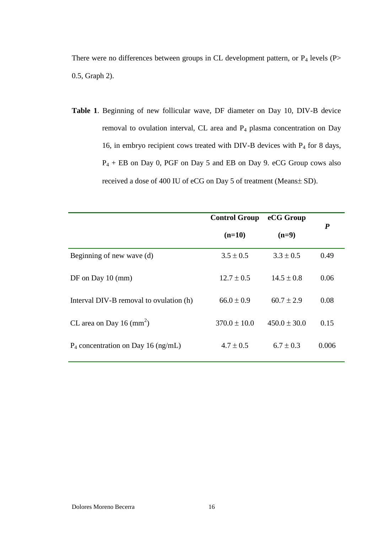There were no differences between groups in CL development pattern, or  $P_4$  levels (P> 0.5, Graph 2).

**Table 1**. Beginning of new follicular wave, DF diameter on Day 10, DIV-B device removal to ovulation interval, CL area and P<sup>4</sup> plasma concentration on Day 16, in embryo recipient cows treated with DIV-B devices with  $P_4$  for 8 days, P<sup>4</sup> + EB on Day 0, PGF on Day 5 and EB on Day 9. eCG Group cows also received a dose of 400 IU of eCG on Day 5 of treatment (Means $\pm$  SD).

|                                         | <b>Control Group</b><br>eCG Group |                  |                  |
|-----------------------------------------|-----------------------------------|------------------|------------------|
|                                         | $(n=10)$                          | $(n=9)$          | $\boldsymbol{P}$ |
| Beginning of new wave (d)               | $3.5 \pm 0.5$                     | $3.3 \pm 0.5$    | 0.49             |
| DF on Day $10 \, \text{(mm)}$           | $12.7 \pm 0.5$                    | $14.5 \pm 0.8$   | 0.06             |
| Interval DIV-B removal to ovulation (h) | $66.0 \pm 0.9$                    | $60.7 \pm 2.9$   | 0.08             |
| CL area on Day 16 $\text{(mm}^2)$       | $370.0 \pm 10.0$                  | $450.0 \pm 30.0$ | 0.15             |
| $P_4$ concentration on Day 16 (ng/mL)   | $4.7 \pm 0.5$                     | $6.7 \pm 0.3$    | 0.006            |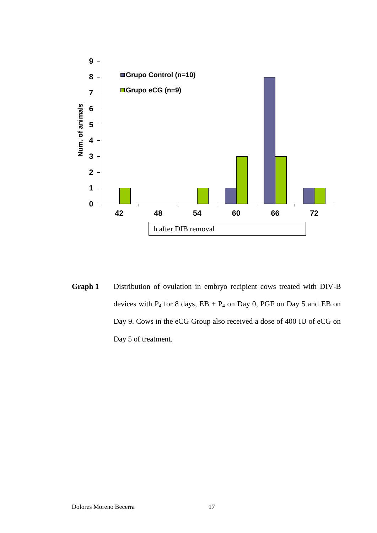

**Graph 1** Distribution of ovulation in embryo recipient cows treated with DIV-B devices with  $P_4$  for 8 days,  $EB + P_4$  on Day 0, PGF on Day 5 and EB on Day 9. Cows in the eCG Group also received a dose of 400 IU of eCG on Day 5 of treatment.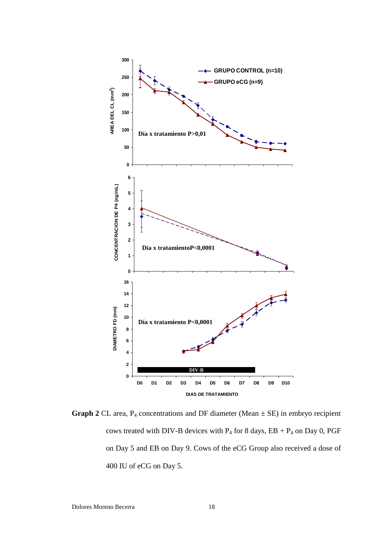

**Graph 2** CL area,  $P_4$  concentrations and DF diameter (Mean  $\pm$  SE) in embryo recipient cows treated with DIV-B devices with  $P_4$  for 8 days,  $EB + P_4$  on Day 0, PGF on Day 5 and EB on Day 9. Cows of the eCG Group also received a dose of 400 IU of eCG on Day 5.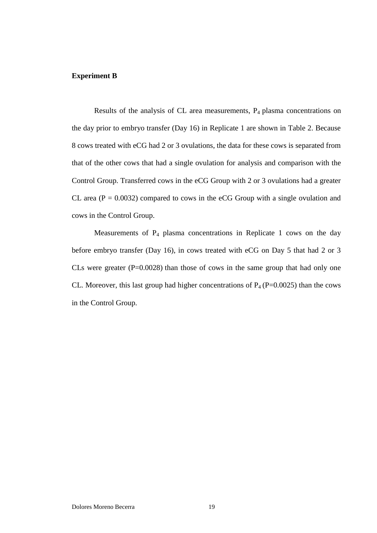# **Experiment B**

Results of the analysis of CL area measurements,  $P_4$  plasma concentrations on the day prior to embryo transfer (Day 16) in Replicate 1 are shown in Table 2. Because 8 cows treated with eCG had 2 or 3 ovulations, the data for these cows is separated from that of the other cows that had a single ovulation for analysis and comparison with the Control Group. Transferred cows in the eCG Group with 2 or 3 ovulations had a greater CL area  $(P = 0.0032)$  compared to cows in the eCG Group with a single ovulation and cows in the Control Group.

Measurements of  $P_4$  plasma concentrations in Replicate 1 cows on the day before embryo transfer (Day 16), in cows treated with eCG on Day 5 that had 2 or 3 CLs were greater  $(P=0.0028)$  than those of cows in the same group that had only one CL. Moreover, this last group had higher concentrations of  $P_4$  (P=0.0025) than the cows in the Control Group.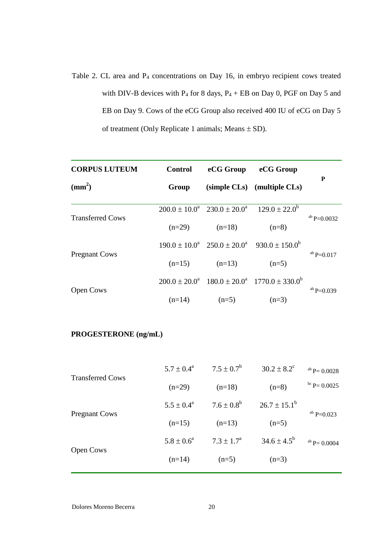Table 2. CL area and  $P_4$  concentrations on Day 16, in embryo recipient cows treated with DIV-B devices with  $P_4$  for 8 days,  $P_4$  + EB on Day 0, PGF on Day 5 and EB on Day 9. Cows of the eCG Group also received 400 IU of eCG on Day 5 of treatment (Only Replicate 1 animals; Means  $\pm$  SD).

| <b>CORPUS LUTEUM</b>    | <b>Control</b> | eCG Group | eCG Group                                                                            |                 |
|-------------------------|----------------|-----------|--------------------------------------------------------------------------------------|-----------------|
| $\text{m}^2$            | Group          |           | (simple CLs) (multiple CLs)                                                          | P               |
| <b>Transferred Cows</b> |                |           | $200.0 \pm 10.0^a$ $230.0 \pm 20.0^a$ $129.0 \pm 22.0^b$                             |                 |
|                         | $(n=29)$       | $(n=18)$  | $(n=8)$                                                                              | $^{ab}P=0.0032$ |
| <b>Pregnant Cows</b>    |                |           | $190.0 \pm 10.0^{\text{a}}$ $250.0 \pm 20.0^{\text{a}}$ $930.0 \pm 150.0^{\text{b}}$ |                 |
|                         | $(n=15)$       | $(n=13)$  | $(n=5)$                                                                              | $^{ab}P=0.017$  |
| <b>Open Cows</b>        |                |           | $200.0 \pm 20.0^a$ $180.0 \pm 20.0^a$ $1770.0 \pm 330.0^b$                           |                 |
|                         | $(n=14)$       | $(n=5)$   | $(n=3)$                                                                              | $^{ab}P=0.039$  |

# **PROGESTERONE (ng/mL)**

| $5.7 \pm 0.4^{\text{a}}$ | $7.5 \pm 0.7^{\rm b}$ | $30.2 \pm 8.2^{\circ}$  | $^{ab}P = 0.0028$     |
|--------------------------|-----------------------|-------------------------|-----------------------|
| $(n=29)$                 | $(n=18)$              | $(n=8)$                 | $^{\rm bc}$ P= 0.0025 |
| $5.5 \pm 0.4^{\text{a}}$ | $7.6 \pm 0.8^b$       | $26.7 \pm 15.1^{\rm b}$ | $^{ab}$ P=0.023       |
| $(n=15)$                 | $(n=13)$              | $(n=5)$                 |                       |
| $5.8 \pm 0.6^a$          | $7.3 \pm 1.7^{\circ}$ | $34.6 \pm 4.5^{\rm b}$  | $^{ab}P = 0.0004$     |
| $(n=14)$                 | $(n=5)$               | $(n=3)$                 |                       |
|                          |                       |                         |                       |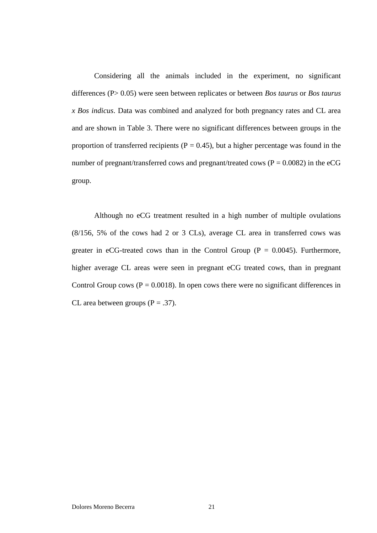Considering all the animals included in the experiment, no significant differences (P> 0.05) were seen between replicates or between *Bos taurus* or *Bos taurus x Bos indicus*. Data was combined and analyzed for both pregnancy rates and CL area and are shown in Table 3. There were no significant differences between groups in the proportion of transferred recipients ( $P = 0.45$ ), but a higher percentage was found in the number of pregnant/transferred cows and pregnant/treated cows ( $P = 0.0082$ ) in the eCG group.

Although no eCG treatment resulted in a high number of multiple ovulations (8/156, 5% of the cows had 2 or 3 CLs), average CL area in transferred cows was greater in eCG-treated cows than in the Control Group ( $P = 0.0045$ ). Furthermore, higher average CL areas were seen in pregnant eCG treated cows, than in pregnant Control Group cows ( $P = 0.0018$ ). In open cows there were no significant differences in CL area between groups ( $P = .37$ ).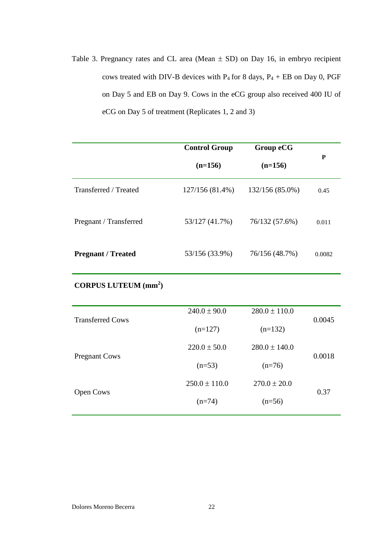Table 3. Pregnancy rates and CL area (Mean  $\pm$  SD) on Day 16, in embryo recipient cows treated with DIV-B devices with  $P_4$  for 8 days,  $P_4$  + EB on Day 0, PGF on Day 5 and EB on Day 9. Cows in the eCG group also received 400 IU of eCG on Day 5 of treatment (Replicates 1, 2 and 3)

|                           | <b>Control Group</b> | Group eCG       |        |  |
|---------------------------|----------------------|-----------------|--------|--|
|                           | $(n=156)$            | $(n=156)$       | P      |  |
| Transferred / Treated     | 127/156 (81.4%)      | 132/156 (85.0%) | 0.45   |  |
| Pregnant / Transferred    | 53/127 (41.7%)       | 76/132 (57.6%)  | 0.011  |  |
| <b>Pregnant / Treated</b> | 53/156 (33.9%)       | 76/156 (48.7%)  | 0.0082 |  |

**CORPUS LUTEUM (mm<sup>2</sup> )**

| $240.0 \pm 90.0$  | $280.0 \pm 110.0$ |        |
|-------------------|-------------------|--------|
| $(n=127)$         | $(n=132)$         | 0.0045 |
| $220.0 \pm 50.0$  | $280.0 \pm 140.0$ | 0.0018 |
| $(n=53)$          | $(n=76)$          |        |
| $250.0 \pm 110.0$ | $270.0 \pm 20.0$  | 0.37   |
| $(n=74)$          | $(n=56)$          |        |
|                   |                   |        |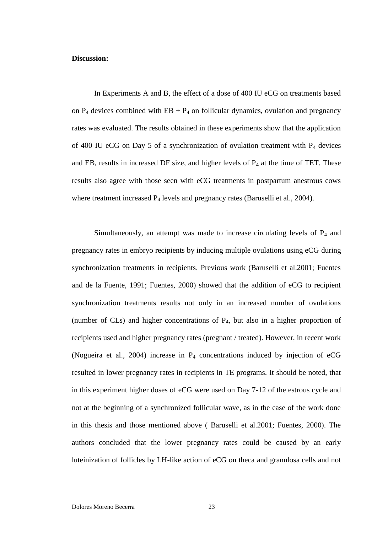#### **Discussion:**

In Experiments A and B, the effect of a dose of 400 IU eCG on treatments based on  $P_4$  devices combined with  $EB + P_4$  on follicular dynamics, ovulation and pregnancy rates was evaluated. The results obtained in these experiments show that the application of 400 IU eCG on Day 5 of a synchronization of ovulation treatment with  $P_4$  devices and EB, results in increased DF size, and higher levels of  $P_4$  at the time of TET. These results also agree with those seen with eCG treatments in postpartum anestrous cows where treatment increased  $P_4$  levels and pregnancy rates (Baruselli et al., 2004).

Simultaneously, an attempt was made to increase circulating levels of  $P_4$  and pregnancy rates in embryo recipients by inducing multiple ovulations using eCG during synchronization treatments in recipients. Previous work (Baruselli et al.2001; Fuentes and de la Fuente, 1991; Fuentes, 2000) showed that the addition of eCG to recipient synchronization treatments results not only in an increased number of ovulations (number of CLs) and higher concentrations of P4, but also in a higher proportion of recipients used and higher pregnancy rates (pregnant / treated). However, in recent work (Nogueira et al., 2004) increase in  $P_4$  concentrations induced by injection of eCG resulted in lower pregnancy rates in recipients in TE programs. It should be noted, that in this experiment higher doses of eCG were used on Day 7-12 of the estrous cycle and not at the beginning of a synchronized follicular wave, as in the case of the work done in this thesis and those mentioned above ( Baruselli et al.2001; Fuentes, 2000). The authors concluded that the lower pregnancy rates could be caused by an early luteinization of follicles by LH-like action of eCG on theca and granulosa cells and not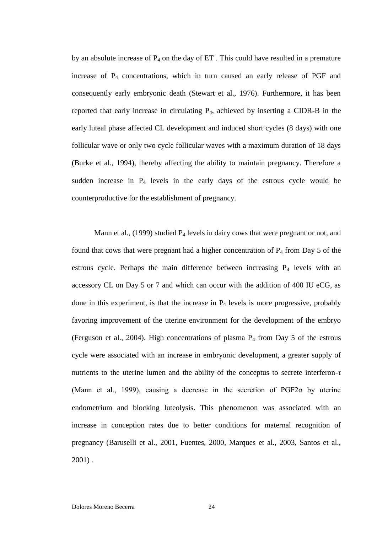by an absolute increase of  $P_4$  on the day of ET. This could have resulted in a premature increase of  $P_4$  concentrations, which in turn caused an early release of PGF and consequently early embryonic death (Stewart et al., 1976). Furthermore, it has been reported that early increase in circulating P4, achieved by inserting a CIDR-B in the early luteal phase affected CL development and induced short cycles (8 days) with one follicular wave or only two cycle follicular waves with a maximum duration of 18 days (Burke et al., 1994), thereby affecting the ability to maintain pregnancy. Therefore a sudden increase in  $P_4$  levels in the early days of the estrous cycle would be counterproductive for the establishment of pregnancy.

Mann et al., (1999) studied  $P_4$  levels in dairy cows that were pregnant or not, and found that cows that were pregnant had a higher concentration of  $P_4$  from Day 5 of the estrous cycle. Perhaps the main difference between increasing  $P_4$  levels with an accessory CL on Day 5 or 7 and which can occur with the addition of 400 IU eCG, as done in this experiment, is that the increase in  $P_4$  levels is more progressive, probably favoring improvement of the uterine environment for the development of the embryo (Ferguson et al., 2004). High concentrations of plasma P<sup>4</sup> from Day 5 of the estrous cycle were associated with an increase in embryonic development, a greater supply of nutrients to the uterine lumen and the ability of the conceptus to secrete interferon-τ (Mann et al., 1999), causing a decrease in the secretion of  $PGF2\alpha$  by uterine endometrium and blocking luteolysis. This phenomenon was associated with an increase in conception rates due to better conditions for maternal recognition of pregnancy (Baruselli et al., 2001, Fuentes, 2000, Marques et al., 2003, Santos et al., 2001) .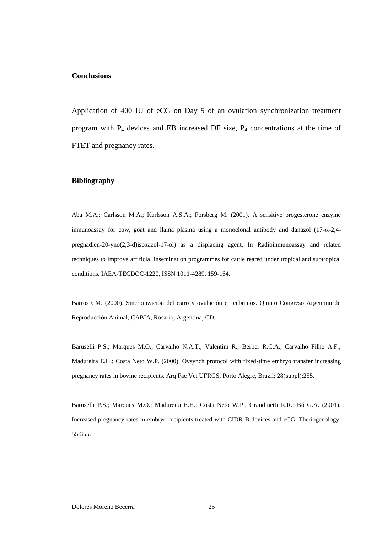### **Conclusions**

Application of 400 IU of eCG on Day 5 of an ovulation synchronization treatment program with  $P_4$  devices and EB increased DF size,  $P_4$  concentrations at the time of FTET and pregnancy rates.

# **Bibliography**

Aba M.A.; Carlsson M.A.; Karlsson A.S.A.; Forsberg M. (2001). A sensitive progesterone enzyme inmunoassay for cow, goat and llama plasma using a monoclonal antibody and danazol  $(17-\alpha-2,4-\alpha)$ pregnadien-20-yno(2,3-d)isoxazol-17-ol) as a displacing agent. In Radioinmunoassay and related techniques to improve artificial insemination programmes for cattle reared under tropical and subtropical conditions. IAEA-TECDOC-1220, ISSN 1011-4289, 159-164.

Barros CM. (2000). Sincronización del estro y ovulación en cebuinos. Quinto Congreso Argentino de Reproducción Animal, CABIA, Rosario, Argentina; CD.

Baruselli P.S.; Marques M.O.; Carvalho N.A.T.; Valentim R.; Berber R.C.A.; Carvalho Filho A.F.; Madureira E.H.; Costa Neto W.P. (2000). Ovsynch protocol with fixed-time embryo transfer increasing pregnancy rates in bovine recipients. Arq Fac Vet UFRGS, Porto Alegre, Brazil; 28(suppl):255.

Baruselli P.S.; Marques M.O.; Madureira E.H.; Costa Neto W.P.; Grandinetti R.R.; Bó G.A. (2001). Increased pregnancy rates in embryo recipients treated with CIDR-B devices and eCG. Theriogenology; 55:355.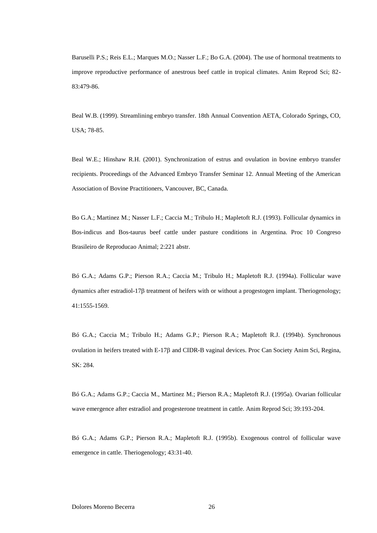[Baruselli P.S.; Reis E.L.; Marques M.O.; Nasser L.F.; Bo G.A. \(2004\).](http://www.ncbi.nlm.nih.gov/entrez/query.fcgi?db=pubmed&cmd=Retrieve&dopt=AbstractPlus&list_uids=15271474&query_hl=2&itool=pubmed_docsum) The use of hormonal treatments to improve reproductive performance of anestrous beef cattle in tropical climates. Anim Reprod Sci; 82- 83:479-86.

Beal W.B. (1999). Streamlining embryo transfer. 18th Annual Convention AETA, Colorado Springs, CO, USA; 78-85.

Beal W.E.; Hinshaw R.H. (2001). Synchronization of estrus and ovulation in bovine embryo transfer recipients. Proceedings of the Advanced Embryo Transfer Seminar 12. Annual Meeting of the American Association of Bovine Practitioners, Vancouver, BC, Canada.

Bo G.A.; Martinez M.; Nasser L.F.; Caccia M.; Tribulo H.; Mapletoft R.J. (1993). Follicular dynamics in Bos-indicus and Bos-taurus beef cattle under pasture conditions in Argentina. Proc 10 Congreso Brasileiro de Reproducao Animal; 2:221 abstr.

Bó G.A.; Adams G.P.; Pierson R.A.; Caccia M.; Tribulo H.; Mapletoft R.J. (1994a). Follicular wave dynamics after estradiol-17 $\beta$  treatment of heifers with or without a progestogen implant. Theriogenology; 41:1555-1569.

Bó G.A.; Caccia M.; Tribulo H.; Adams G.P.; Pierson R.A.; Mapletoft R.J. (1994b). Synchronous ovulation in heifers treated with E-17 $\beta$  and CIDR-B vaginal devices. Proc Can Society Anim Sci, Regina, SK: 284.

Bó G.A.; Adams G.P.; Caccia M., Martinez M.; Pierson R.A.; Mapletoft R.J. (1995a). Ovarian follicular wave emergence after estradiol and progesterone treatment in cattle. Anim Reprod Sci; 39:193-204.

Bó G.A.; Adams G.P.; Pierson R.A.; Mapletoft R.J. (1995b). Exogenous control of follicular wave emergence in cattle. Theriogenology; 43:31-40.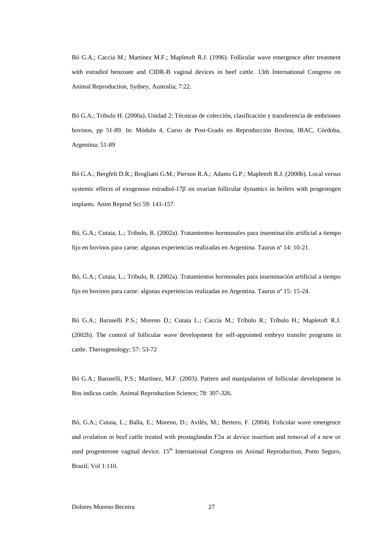Bó G.A.; Caccia M.; Martinez M.F.; Mapletoft R.J. (1996). Follicular wave emergence after treatment with estradiol benzoate and CIDR-B vaginal devices in beef cattle. 13th International Congress on Animal Reproduction, Sydney, Australia; 7:22.

Bó G.A.; Tribulo H. (2000a). Unidad 2: Técnicas de colección, clasificación y transferencia de embriones bovinos, pp 51-89. In: Módulo 4, Curso de Post-Grado en Reproducción Bovina, IRAC, Córdoba, Argentina: 51-89

Bó G.A.; Bergfelt D.R.; Brogliatti G.M.; Pierson R.A.; Adams G.P.; Mapletoft R.J. (2000b). Local versus systemic effects of exogenous estradiol-17 $\beta$  on ovarian follicular dynamics in heifers with progestogen implants. Anim Reprod Sci 59: 141-157.

Bó, G.A.; Cutaia, L.; Tribulo, R. (2002a). Tratamientos hormonales para inseminación artificial a tiempo fijo en bovinos para carne: algunas experiencias realizadas en Argentina. Taurus nº 14: 10-21.

Bó, G.A.; Cutaia, L.; Tribulo, R. (2002a). Tratamientos hormonales para inseminación artificial a tiempo fijo en bovinos para carne: algunas experiencias realizadas en Argentina. Taurus nº 15: 15-24.

Bó G.A.; Baruselli P.S.; Moreno D.; Cutaia L.; Caccia M.; Tríbulo R.; Tríbulo H.; Mapletoft R.J. (2002b). The control of follicular wave development for self-appointed embryo transfer programs in cattle. Theriogenology; 57: 53-72

Bó G.A.; Baruselli, P.S.; Martinez, M.F. (2003). Pattern and manipulation of follicular development in Bos indicus cattle. Animal Reproduction Science; 78: 307-326.

Bó, G.A.; Cutaia, L.; Balla, E.; Moreno, D.; Avilés, M.; Bertero, F. (2004). Folicular wave emergence and ovulation in beef cattle treated with prostaglandin F2α at device insertion and removal of a new or used progesterone vaginal device. 15<sup>th</sup> International Congress on Animal Reproduction, Porto Seguro, Brazil; Vol 1:110.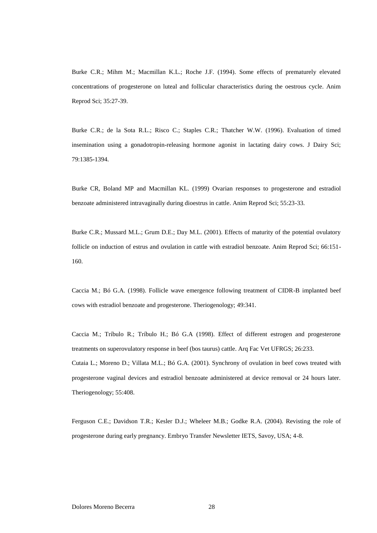Burke C.R.; Mihm M.; Macmillan K.L.; Roche J.F. (1994). Some effects of prematurely elevated concentrations of progesterone on luteal and follicular characteristics during the oestrous cycle. Anim Reprod Sci; 35:27-39.

Burke C.R.; de la Sota R.L.; Risco C.; Staples C.R.; Thatcher W.W. (1996). Evaluation of timed insemination using a gonadotropin-releasing hormone agonist in lactating dairy cows. J Dairy Sci; 79:1385-1394.

Burke CR, Boland MP and Macmillan KL. (1999) Ovarian responses to progesterone and estradiol benzoate administered intravaginally during dioestrus in cattle. Anim Reprod Sci; 55:23-33.

Burke C.R.; Mussard M.L.; Grum D.E.; Day M.L. (2001). Effects of maturity of the potential ovulatory follicle on induction of estrus and ovulation in cattle with estradiol benzoate. Anim Reprod Sci; 66:151- 160.

Caccia M.; Bó G.A. (1998). Follicle wave emergence following treatment of CIDR-B implanted beef cows with estradiol benzoate and progesterone. Theriogenology; 49:341.

Caccia M.; Tríbulo R.; Tríbulo H.; Bó G.A (1998). Effect of different estrogen and progesterone treatments on superovulatory response in beef (bos taurus) cattle. Arq Fac Vet UFRGS; 26:233. Cutaia L.; Moreno D.; Villata M.L.; Bó G.A. (2001). Synchrony of ovulation in beef cows treated with progesterone vaginal devices and estradiol benzoate administered at device removal or 24 hours later. Theriogenology; 55:408.

Ferguson C.E.; Davidson T.R.; Kesler D.J.; Wheleer M.B.; Godke R.A. (2004). Revisting the role of progesterone during early pregnancy. Embryo Transfer Newsletter IETS, Savoy, USA; 4-8.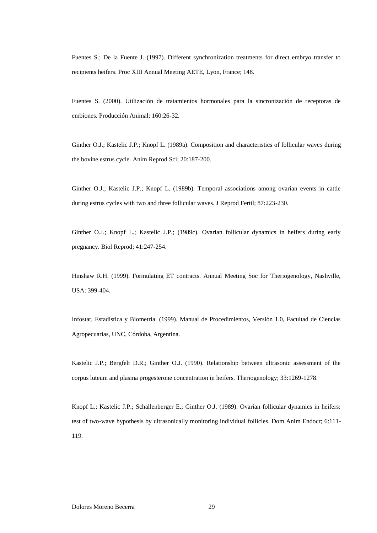Fuentes S.; De la Fuente J. (1997). Different synchronization treatments for direct embryo transfer to recipients heifers. Proc XIII Annual Meeting AETE, Lyon, France; 148.

Fuentes S. (2000). Utilización de tratamientos hormonales para la sincronización de receptoras de embiones. Producción Animal; 160:26-32.

Ginther O.J.; Kastelic J.P.; Knopf L. (1989a). Composition and characteristics of follicular waves during the bovine estrus cycle. Anim Reprod Sci; 20:187-200.

Ginther O.J.; Kastelic J.P.; Knopf L. (1989b). Temporal associations among ovarian events in cattle during estrus cycles with two and three follicular waves. J Reprod Fertil; 87:223-230.

Ginther O.J.; Knopf L.; Kastelic J.P.; (1989c). Ovarian follicular dynamics in heifers during early pregnancy. Biol Reprod; 41:247-254.

Hinshaw R.H. (1999). Formulating ET contracts. Annual Meeting Soc for Theriogenology, Nashville, USA: 399-404.

Infostat, Estadística y Biometría. (1999). Manual de Procedimientos, Versión 1.0, Facultad de Ciencias Agropecuarias, UNC, Córdoba, Argentina.

Kastelic J.P.; Bergfelt D.R.; Ginther O.J. (1990). Relationship between ultrasonic assessment of the corpus luteum and plasma progesterone concentration in heifers. Theriogenology; 33:1269-1278.

Knopf L.; Kastelic J.P.; Schallenberger E.; Ginther O.J. (1989). Ovarian follicular dynamics in heifers: test of two-wave hypothesis by ultrasonically monitoring individual follicles. Dom Anim Endocr; 6:111- 119.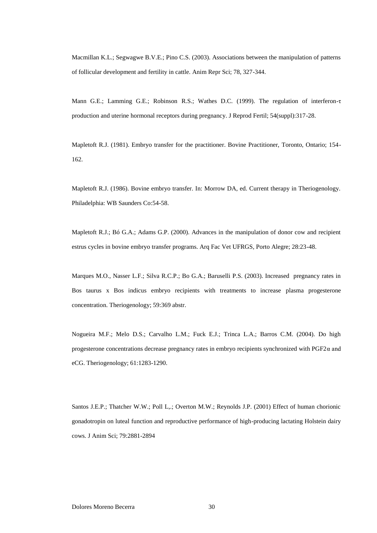Macmillan K.L.; Segwagwe B.V.E.; Pino C.S. (2003). Associations between the manipulation of patterns of follicular development and fertility in cattle. Anim Repr Sci; 78, 327-344.

Mann G.E.; Lamming G.E.; Robinson R.S.; Wathes D.C. (1999). The regulation of interferon-τ production and uterine hormonal receptors during pregnancy. J Reprod Fertil; 54(suppl):317-28.

Mapletoft R.J. (1981). Embryo transfer for the practitioner. Bovine Practitioner, Toronto, Ontario; 154- 162.

Mapletoft R.J. (1986). Bovine embryo transfer. In: Morrow DA, ed. Current therapy in Theriogenology. Philadelphia: WB Saunders Co:54-58.

Mapletoft R.J.; Bó G.A.; Adams G.P. (2000). Advances in the manipulation of donor cow and recipient estrus cycles in bovine embryo transfer programs. Arq Fac Vet UFRGS, Porto Alegre; 28:23-48.

Marques M.O., Nasser L.F.; Silva R.C.P.; Bo G.A.; Baruselli P.S. (2003). Increased pregnancy rates in Bos taurus x Bos indicus embryo recipients with treatments to increase plasma progesterone concentration. Theriogenology; 59:369 abstr.

Nogueira M.F.; Melo D.S.; Carvalho L.M.; Fuck E.J.; Trinca L.A.; Barros C.M. (2004). Do high progesterone concentrations decrease pregnancy rates in embryo recipients synchronized with PGF2α and eCG. Theriogenology; 61:1283-1290.

Santos J.E.P.; Thatcher W.W.; Poll L,.; Overton M.W.; Reynolds J.P. (2001) Effect of human chorionic gonadotropin on luteal function and reproductive performance of high-producing lactating Holstein dairy cows. J Anim Sci; 79:2881-2894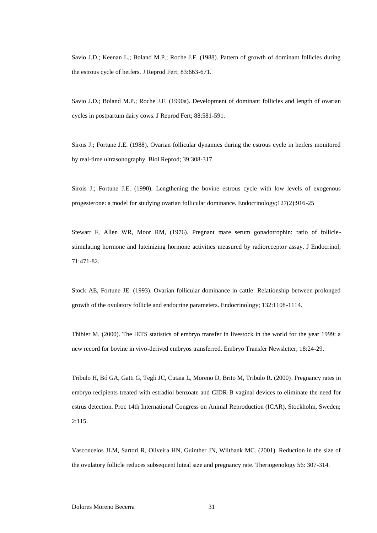Savio J.D.; Keenan L.; Boland M.P.; Roche J.F. (1988). Pattern of growth of dominant follicles during the estrous cycle of heifers. J Reprod Fert; 83:663-671.

Savio J.D.; Boland M.P.; Roche J.F. (1990a). Development of dominant follicles and length of ovarian cycles in postpartum dairy cows. J Reprod Fert; 88:581-591.

Sirois J.; Fortune J.E. (1988). Ovarian follicular dynamics during the estrous cycle in heifers monitored by real-time ultrasonography. Biol Reprod; 39:308-317.

[Sirois J.; Fortune J.E. \(1990\).](http://www.ncbi.nlm.nih.gov/entrez/query.fcgi?db=pubmed&cmd=Retrieve&dopt=AbstractPlus&list_uids=2373061&query_hl=4&itool=pubmed_DocSum) Lengthening the bovine estrous cycle with low levels of exogenous progesterone: a model for studying ovarian follicular dominance. Endocrinology;127(2):916-25

Stewart F, Allen WR, Moor RM, (1976). Pregnant mare serum gonadotrophin: ratio of folliclestimulating hormone and luteinizing hormone activities measured by radioreceptor assay. J Endocrinol; 71:471-82.

Stock AE, Fortune JE. (1993). Ovarian follicular dominance in cattle: Relationship between prolonged growth of the ovulatory follicle and endocrine parameters. Endocrinology; 132:1108-1114.

Thibier M. (2000). The IETS statistics of embryo transfer in livestock in the world for the year 1999: a new record for bovine in vivo-derived embryos transferred. Embryo Transfer Newsletter; 18:24-29.

Tribulo H, Bó GA, Gatti G, Tegli JC, Cutaia L, Moreno D, Brito M, Tribulo R. (2000). Pregnancy rates in embryo recipients treated with estradiol benzoate and CIDR-B vaginal devices to eliminate the need for estrus detection. Proc 14th International Congress on Animal Reproduction (ICAR), Stockholm, Sweden;  $2:115.$ 

Vasconcelos JLM, Sartori R, Oliveira HN, Guinther JN, Wiltbank MC. (2001). Reduction in the size of the ovulatory follicle reduces subsequent luteal size and pregnancy rate. Theriogenology 56: 307-314.